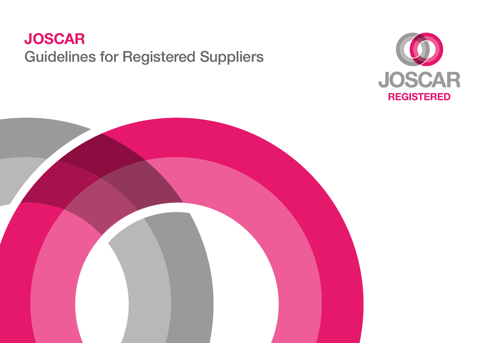# **JOSCAR** Guidelines for Registered Suppliers



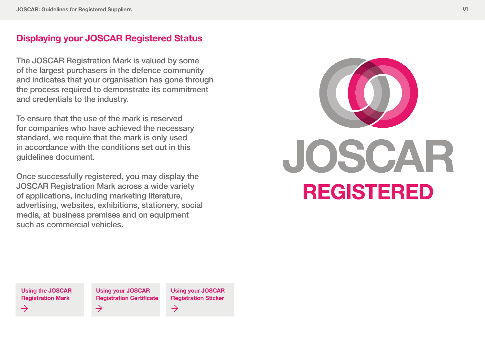## **Displaying your JOSCAR Registered Status**

The JOSCAR Registration Mark is valued by some of the largest purchasers in the defence community and indicates that your organisation has gone through the process required to demonstrate its commitment and credentials to the industry.

To ensure that the use of the mark is reserved for companies who have achieved the necessary standard, we require that the mark is only used in accordance with the conditions set out in this guidelines document.

Once successfully registered, you may display the JOSCAR Registration Mark across a wide variety of applications, including marketing literature, advertising, websites, exhibitions, stationery, social media, at business premises and on equipment such as commercial vehicles.



**[Using the JOSCAR](#page-2-0)  Registration Mark**  $\rightarrow$ 

**Using your JOSCAR [Registration Certificate](#page-3-0)**  $\rightarrow$ 

**[Using your JOSCAR](#page-3-0)  Registration Sticker** $\rightarrow$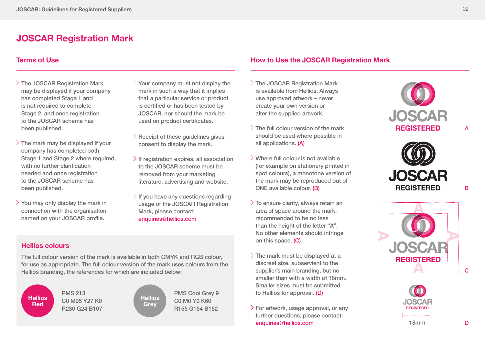## <span id="page-2-0"></span>**JOSCAR Registration Mark**

#### **Terms of Use**

- The JOSCAR Registration Mark may be displayed if your company has completed Stage 1 and is not required to complete Stage 2, and once registration to the JOSCAR scheme has been published.
- $\geq$  The mark may be displayed if your company has completed both Stage 1 and Stage 2 where required, with no further clarification needed and once registration to the JOSCAR scheme has been published.
- You may only display the mark in connection with the organisation named on your JOSCAR profile.
- Your company must not display the mark in such a way that it implies that a particular service or product is certified or has been tested by JOSCAR, nor should the mark be used on product certificates.
- Receipt of these guidelines gives consent to display the mark.
- $\geq$  If registration expires, all association to the JOSCAR scheme must be removed from your marketing literature, advertising and website.
- $\cdot$  If you have any questions regarding usage of the JOSCAR Registration Mark, please contact: [enquiries@hellios.com](mailto:enquiries%40hellios.com?subject=Enquiry%20about%20guidelines)

#### **Hellios colours**

The full colour version of the mark is available in both CMYK and RGB colour, for use as appropriate. The full colour version of the mark uses colours from the Hellios branding, the references for which are included below:

**Hellios Red**

PMS 213 C0 M95 Y27 K0 R230 G24 B107 **Hellios Grey**

PMS Cool Grey 9 C0 M0 Y0 K60 R155 G154 B152

#### **How to Use the JOSCAR Registration Mark**

- The JOSCAR Registration Mark is available from Hellios. Always use approved artwork – never create your own version or alter the supplied artwork.
- $\geq$  The full colour version of the mark should be used where possible in all applications. (A)
- Where full colour is not available (for example on stationery printed in spot colours), a monotone version of the mark may be reproduced out of ONE available colour. (B)
- To ensure clarity, always retain an area of space around the mark, recommended to be no less than the height of the letter "A". No other elements should infringe on this space. (C)
- The mark must be displayed at a discreet size, subservient to the supplier's main branding, but no smaller than with a width of 18mm. Smaller sizes must be submitted to Hellios for approval. (D)
- For artwork, usage approval, or any further questions, please contact: [enquiries@hellios.com](mailto:enquiries%40hellios.com?subject=Enquiry%20about%20guidelines)









A

B

 $\mathbf C$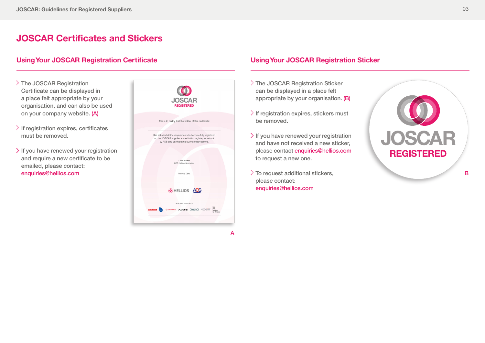## <span id="page-3-0"></span>**JOSCAR Certificates and Stickers**

### **Using Your JOSCAR Registration Certificate**

- The JOSCAR Registration Certificate can be displayed in a place felt appropriate by your organisation, and can also be used on your company website. (A)
- $\geq$  If registration expires, certificates must be removed.
- $\cdot$  If you have renewed your registration and require a new certificate to be emailed, please contact: [enquiries@hellios.com](mailto:enquiries%40hellios.com?subject=Enquiry%20about%20guidelines)



#### **Using Your JOSCAR Registration Sticker**

- The JOSCAR Registration Sticker can be displayed in a place felt appropriate by your organisation. (B)
- $\geq$  If registration expires, stickers must be removed.
- If you have renewed your registration and have not received a new sticker, please contact [enquiries@hellios.com](mailto:enquiries%40hellios.com?subject=Enquiry%20about%20guidelines) to request a new one.
- To request additional stickers, please contact: [enquiries@hellios.com](mailto:enquiries%40hellios.com?subject=Enquiry%20about%20guidelines)



B